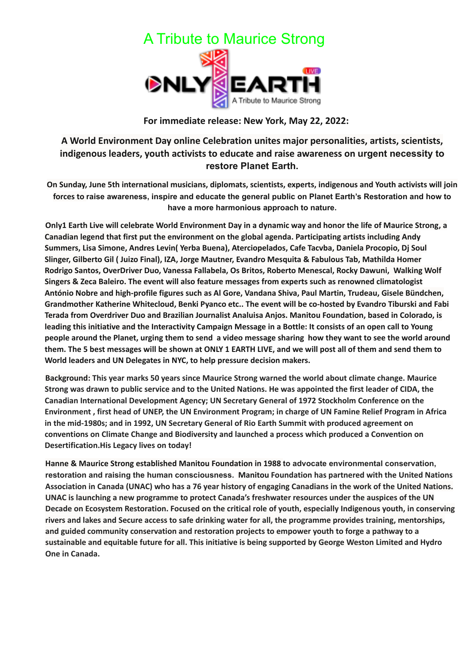

## **For immediate release: New York, May 22, 2022:**

## **A World Environment Day online Celebration unites major personalities, artists, scientists, indigenous leaders, youth activists to educate and raise awareness on urgent necessity to restore Planet Earth.**

**On Sunday, June 5th international musicians, diplomats, scientists, experts, indigenous and Youth activists will join** forces to raise awareness, inspire and educate the general public on Planet Earth's Restoration and how to **have a more harmonious approach to nature.**

Only1 Earth Live will celebrate World Environment Day in a dynamic way and honor the life of Maurice Strong, a **Canadian legend that first put the environment on the global agenda. Participating artists including Andy Summers, Lisa Simone, Andres Levin( Yerba Buena), Aterciopelados, Cafe Tacvba, Daniela Procopio, Dj Soul Slinger, Gilberto Gil ( Juizo Final), IZA, Jorge Mautner, Evandro Mesquita & Fabulous Tab, Mathilda Homer Rodrigo Santos, OverDriver Duo, Vanessa Fallabela, Os Britos, Roberto Menescal, Rocky Dawuni, Walking Wolf Singers & Zeca Baleiro. The event will also feature messages from experts such as renowned climatologist António Nobre and high-profile figures such as Al Gore, Vandana Shiva, Paul Martin, Trudeau, Gisele Bündchen, Grandmother Katherine Whitecloud, Benki Pyanco etc.. The event will be co-hosted by Evandro Tiburski and Fabi Terada from Overdriver Duo and Brazilian Journalist Analuisa Anjos. Manitou Foundation, based in Colorado, is** leading this initiative and the Interactivity Campaign Message in a Bottle: It consists of an open call to Young people around the Planet, urging them to send a video message sharing how they want to see the world around them. The 5 best messages will be shown at ONLY 1 EARTH LIVE, and we will post all of them and send them to **World leaders and UN Delegates in NYC, to help pressure decision makers.**

**Background: This year marks 50 years since Maurice Strong warned the world about climate change. Maurice** Strong was drawn to public service and to the United Nations. He was appointed the first leader of CIDA, the **Canadian International Development Agency; UN Secretary General of 1972 Stockholm Conference on the** Environment, first head of UNEP, the UN Environment Program: in charge of UN Famine Relief Program in Africa **in the mid-1980s; and in 1992, UN Secretary General of Rio Earth Summit with produced agreement on conventions on Climate Change and Biodiversity and launched a process which produced a Convention on Desertification.His Legacy lives on today!**

**Hanne & Maurice Strong established Manitou Foundation in 1988 to advocate environmental conservation, restoration and raising the human consciousness. Manitou Foundation has partnered with the United Nations** Association in Canada (UNAC) who has a 76 year history of engaging Canadians in the work of the United Nations. **UNAC is launching a new programme to protect Canada's freshwater resources under the auspices of the UN** Decade on Ecosystem Restoration. Focused on the critical role of youth, especially Indigenous youth, in conserving rivers and lakes and Secure access to safe drinking water for all, the programme provides training, mentorships, **and guided community conservation and restoration projects to empower youth to forge a pathway to a** sustainable and equitable future for all. This initiative is being supported by George Weston Limited and Hydro **One in Canada.**